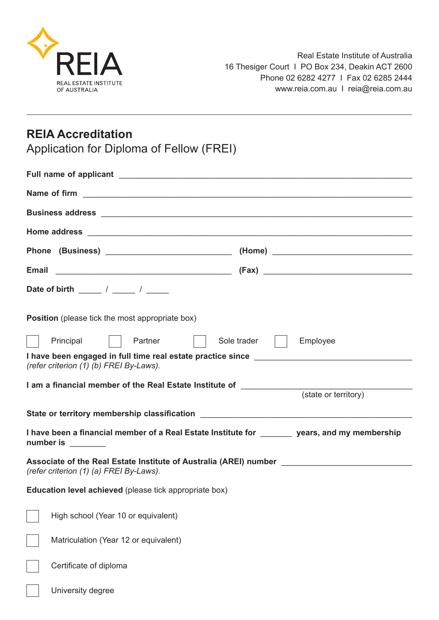

# **REIA Accreditation**

Application for Diploma of Fellow (FREI)

| Date of birth ______ / _____ / _____                                                                                         |                             |  |
|------------------------------------------------------------------------------------------------------------------------------|-----------------------------|--|
| <b>Position</b> (please tick the most appropriate box)                                                                       |                             |  |
| Principal   Partner                                                                                                          | Sole trader    <br>Employee |  |
| (refer criterion (1) (b) FREI By-Laws).                                                                                      |                             |  |
| I am a financial member of the Real Estate Institute of ________________________(state or territory)                         |                             |  |
|                                                                                                                              |                             |  |
| State or territory membership classification ___________________________________                                             |                             |  |
| I have been a financial member of a Real Estate Institute for _______ years, and my membership<br>number is ________         |                             |  |
| Associate of the Real Estate Institute of Australia (AREI) number _______________<br>(refer criterion (1) (a) FREI By-Laws). |                             |  |
| <b>Education level achieved</b> (please tick appropriate box)                                                                |                             |  |
| High school (Year 10 or equivalent)                                                                                          |                             |  |
| Matriculation (Year 12 or equivalent)                                                                                        |                             |  |
| Certificate of diploma                                                                                                       |                             |  |
| University degree                                                                                                            |                             |  |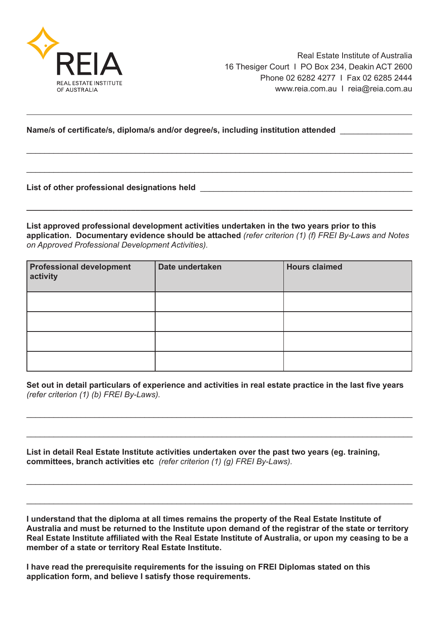

#### **Name/s of certificate/s, diploma/s and/or degree/s, including institution attended** \_\_\_\_\_\_\_\_\_\_\_\_\_\_\_\_

**List of other professional designations held** \_\_\_\_\_\_\_\_\_\_\_\_\_\_\_\_\_\_\_\_\_\_\_\_\_\_\_\_\_\_\_\_\_\_\_\_\_\_\_\_\_\_\_\_\_\_\_

**List approved professional development activities undertaken in the two years prior to this application. Documentary evidence should be attached** *(refer criterion (1) (f) FREI By-Laws and Notes on Approved Professional Development Activities).*

**\_\_\_\_\_\_\_\_\_\_\_\_\_\_\_\_\_\_\_\_\_\_\_\_\_\_\_\_\_\_\_\_\_\_\_\_\_\_\_\_\_\_\_\_\_\_\_\_\_\_\_\_\_\_\_\_\_\_\_\_\_\_\_\_\_\_\_\_\_\_\_\_\_\_\_\_\_\_\_\_\_\_\_\_\_**

\_\_\_\_\_\_\_\_\_\_\_\_\_\_\_\_\_\_\_\_\_\_\_\_\_\_\_\_\_\_\_\_\_\_\_\_\_\_\_\_\_\_\_\_\_\_\_\_\_\_\_\_\_\_\_\_\_\_\_\_\_\_\_\_\_\_\_\_\_\_\_\_\_\_\_\_\_\_\_\_\_\_\_\_\_

\_\_\_\_\_\_\_\_\_\_\_\_\_\_\_\_\_\_\_\_\_\_\_\_\_\_\_\_\_\_\_\_\_\_\_\_\_\_\_\_\_\_\_\_\_\_\_\_\_\_\_\_\_\_\_\_\_\_\_\_\_\_\_\_\_\_\_\_\_\_\_\_\_\_\_\_\_\_\_\_\_\_\_\_\_

| <b>Professional development</b><br>activity | Date undertaken | <b>Hours claimed</b> |
|---------------------------------------------|-----------------|----------------------|
|                                             |                 |                      |
|                                             |                 |                      |
|                                             |                 |                      |
|                                             |                 |                      |

**Set out in detail particulars of experience and activities in real estate practice in the last five years** *(refer criterion (1) (b) FREI By-Laws).*

\_\_\_\_\_\_\_\_\_\_\_\_\_\_\_\_\_\_\_\_\_\_\_\_\_\_\_\_\_\_\_\_\_\_\_\_\_\_\_\_\_\_\_\_\_\_\_\_\_\_\_\_\_\_\_\_\_\_\_\_\_\_\_\_\_\_\_\_\_\_\_\_\_\_\_\_\_\_\_\_\_\_\_\_\_

\_\_\_\_\_\_\_\_\_\_\_\_\_\_\_\_\_\_\_\_\_\_\_\_\_\_\_\_\_\_\_\_\_\_\_\_\_\_\_\_\_\_\_\_\_\_\_\_\_\_\_\_\_\_\_\_\_\_\_\_\_\_\_\_\_\_\_\_\_\_\_\_\_\_\_\_\_\_\_\_\_\_\_\_\_

 $\_$  , and the set of the set of the set of the set of the set of the set of the set of the set of the set of the set of the set of the set of the set of the set of the set of the set of the set of the set of the set of th

\_\_\_\_\_\_\_\_\_\_\_\_\_\_\_\_\_\_\_\_\_\_\_\_\_\_\_\_\_\_\_\_\_\_\_\_\_\_\_\_\_\_\_\_\_\_\_\_\_\_\_\_\_\_\_\_\_\_\_\_\_\_\_\_\_\_\_\_\_\_\_\_\_\_\_\_\_\_\_\_\_\_\_\_\_

**List in detail Real Estate Institute activities undertaken over the past two years (eg. training, committees, branch activities etc** *(refer criterion (1) (g) FREI By-Laws).*

**I understand that the diploma at all times remains the property of the Real Estate Institute of Australia and must be returned to the Institute upon demand of the registrar of the state or territory Real Estate Institute affiliated with the Real Estate Institute of Australia, or upon my ceasing to be a member of a state or territory Real Estate Institute.**

**I have read the prerequisite requirements for the issuing on FREI Diplomas stated on this application form, and believe I satisfy those requirements.**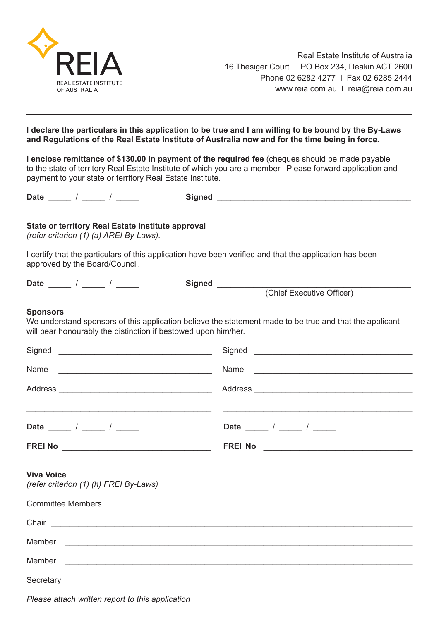

#### **I declare the particulars in this application to be true and I am willing to be bound by the By-Laws and Regulations of the Real Estate Institute of Australia now and for the time being in force.**

**I enclose remittance of \$130.00 in payment of the required fee** (cheques should be made payable to the state of territory Real Estate Institute of which you are a member. Please forward application and payment to your state or territory Real Estate Institute.

| <b>State or territory Real Estate Institute approval</b><br>(refer criterion (1) (a) AREI By-Laws).<br>I certify that the particulars of this application have been verified and that the application has been<br>approved by the Board/Council. |                                                                                                         |  |
|--------------------------------------------------------------------------------------------------------------------------------------------------------------------------------------------------------------------------------------------------|---------------------------------------------------------------------------------------------------------|--|
|                                                                                                                                                                                                                                                  |                                                                                                         |  |
|                                                                                                                                                                                                                                                  |                                                                                                         |  |
| <b>Sponsors</b><br>will bear honourably the distinction if bestowed upon him/her.                                                                                                                                                                | We understand sponsors of this application believe the statement made to be true and that the applicant |  |
|                                                                                                                                                                                                                                                  |                                                                                                         |  |
| Name<br><u> 2008 - Johann John Stone, mars and deutscher Stone († 1952)</u>                                                                                                                                                                      | Name                                                                                                    |  |
|                                                                                                                                                                                                                                                  |                                                                                                         |  |
|                                                                                                                                                                                                                                                  |                                                                                                         |  |
| Date _____ / ____ / _____                                                                                                                                                                                                                        | Date _____ / ____ / _____                                                                               |  |
|                                                                                                                                                                                                                                                  |                                                                                                         |  |
| <b>Viva Voice</b><br>(refer criterion (1) (h) FREI By-Laws)                                                                                                                                                                                      |                                                                                                         |  |
| <b>Committee Members</b>                                                                                                                                                                                                                         |                                                                                                         |  |
|                                                                                                                                                                                                                                                  |                                                                                                         |  |
|                                                                                                                                                                                                                                                  |                                                                                                         |  |
| Member                                                                                                                                                                                                                                           |                                                                                                         |  |

Secretary  $\Box$